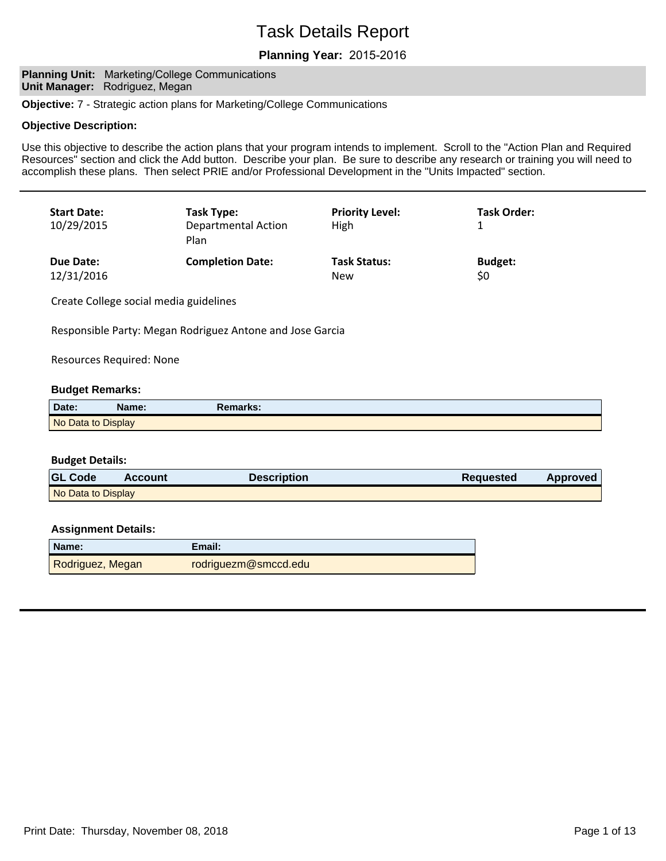# **Planning Year:**

#### **Planning Unit: Marketing/College Communications Unit Manager: Rodriguez, Megan**

**Objective:** 7 - Strategic action plans for Marketing/College Communications

#### **Objective Description:**

Use this objective to describe the action plans that your program intends to implement. Scroll to the "Action Plan and Required Resources" section and click the Add button. Describe your plan. Be sure to describe any research or training you will need to accomplish these plans. Then select PRIE and/or Professional Development in the "Units Impacted" section.

| <b>Start Date:</b><br>10/29/2015 | Task Type:<br><b>Departmental Action</b><br>Plan | <b>Priority Level:</b><br>High | <b>Task Order:</b> |
|----------------------------------|--------------------------------------------------|--------------------------------|--------------------|
| Due Date:                        | <b>Completion Date:</b>                          | <b>Task Status:</b>            | <b>Budget:</b>     |
| 12/31/2016                       |                                                  | <b>New</b>                     | \$0                |

Create College social media guidelines

Responsible Party: Megan Rodriguez Antone and Jose Garcia

Resources Required: None

#### **Budget Remarks:**

| Date:              | Name: | Remarks: |
|--------------------|-------|----------|
| No Data to Display |       |          |

#### **Budget Details:**

| <b>GL Code</b>     | <b>Account</b> | <b>Description</b> | <b>Requested</b> | Approved |
|--------------------|----------------|--------------------|------------------|----------|
| No Data to Display |                |                    |                  |          |

| Name:            | Email:               |
|------------------|----------------------|
| Rodriguez, Megan | rodriguezm@smccd.edu |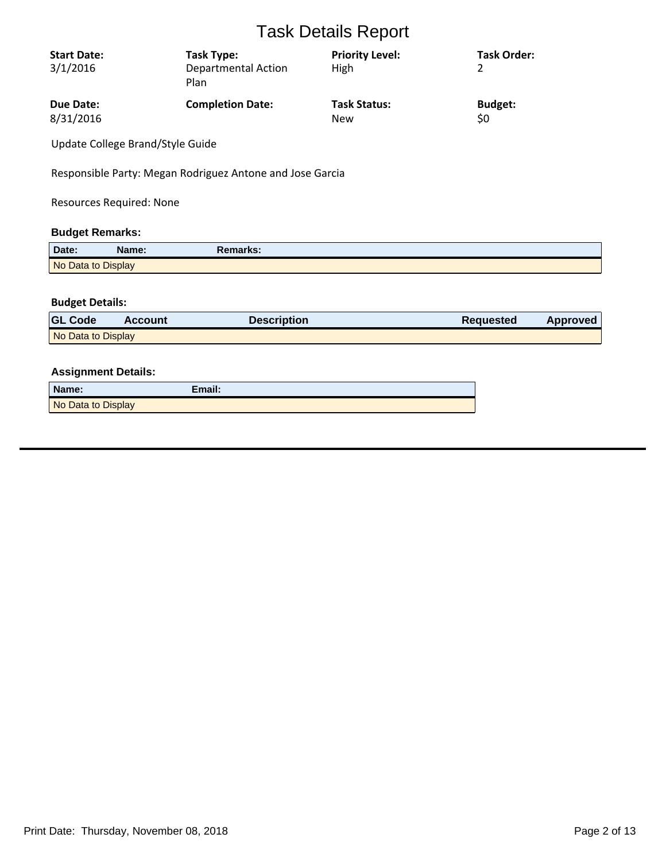| <b>Start Date:</b><br>3/1/2016 | Task Type:<br><b>Departmental Action</b><br>Plan | <b>Priority Level:</b><br>High | <b>Task Order:</b> |
|--------------------------------|--------------------------------------------------|--------------------------------|--------------------|
| Due Date:                      | <b>Completion Date:</b>                          | <b>Task Status:</b>            | <b>Budget:</b>     |
| 8/31/2016                      |                                                  | <b>New</b>                     | \$0                |

Update College Brand/Style Guide

Responsible Party: Megan Rodriguez Antone and Jose Garcia

Resources Required: None

### **Budget Remarks:**

| Date:              | Name: | Remarks: |  |
|--------------------|-------|----------|--|
| No Data to Display |       |          |  |

# **Budget Details:**

| <b>GL Code</b>     | <b>Account</b> | <b>Description</b> | Requested | Approved |
|--------------------|----------------|--------------------|-----------|----------|
| No Data to Display |                |                    |           |          |

| Name:              | Email: |
|--------------------|--------|
| No Data to Display |        |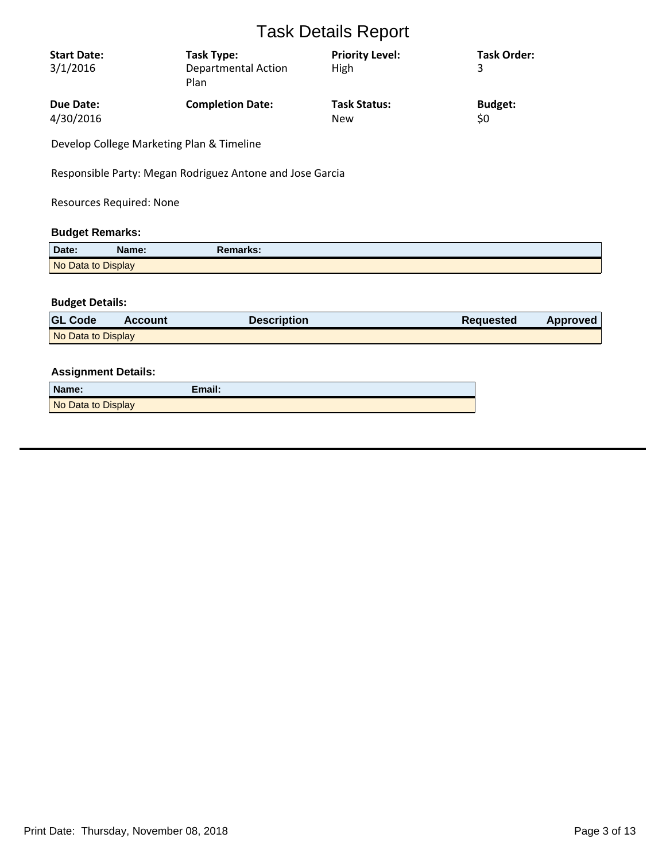| <b>Start Date:</b><br>3/1/2016 | Task Type:<br><b>Departmental Action</b><br>Plan | <b>Priority Level:</b><br>High | <b>Task Order:</b><br>3 |
|--------------------------------|--------------------------------------------------|--------------------------------|-------------------------|
| Due Date:                      | <b>Completion Date:</b>                          | <b>Task Status:</b>            | <b>Budget:</b>          |
| 4/30/2016                      |                                                  | <b>New</b>                     | \$0                     |

Develop College Marketing Plan & Timeline

Responsible Party: Megan Rodriguez Antone and Jose Garcia

Resources Required: None

### **Budget Remarks:**

| Date:              | Name: | Remarks: |  |
|--------------------|-------|----------|--|
| No Data to Display |       |          |  |

# **Budget Details:**

| <b>GL Code</b>     | <b>Account</b> | <b>Description</b> | Requested | Approved |
|--------------------|----------------|--------------------|-----------|----------|
| No Data to Display |                |                    |           |          |

| Name:              | Email: |
|--------------------|--------|
| No Data to Display |        |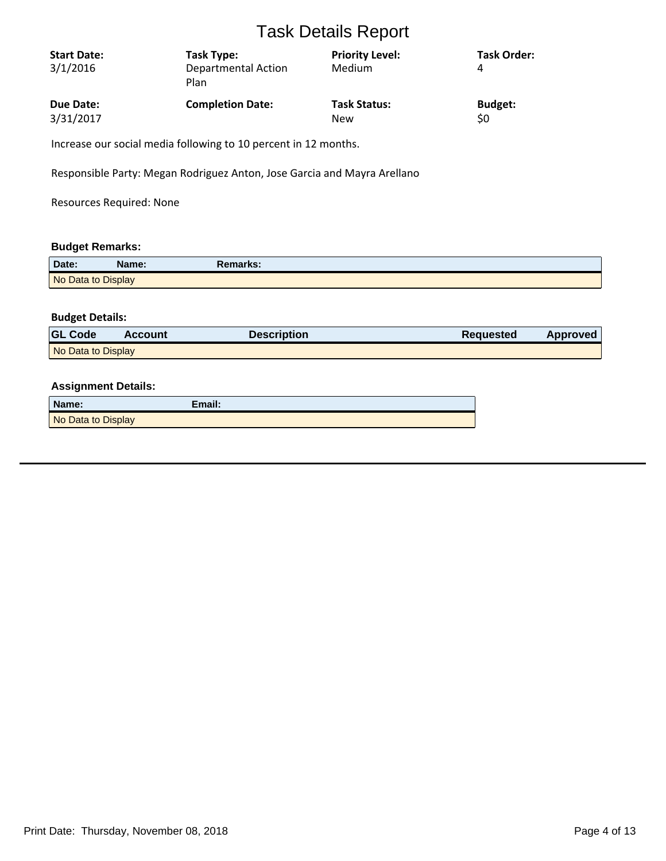| <b>Start Date:</b><br>3/1/2016 | Task Type:<br><b>Departmental Action</b><br>Plan | <b>Priority Level:</b><br>Medium | <b>Task Order:</b><br>4 |
|--------------------------------|--------------------------------------------------|----------------------------------|-------------------------|
| Due Date:                      | <b>Completion Date:</b>                          | <b>Task Status:</b>              | <b>Budget:</b>          |
| 3/31/2017                      |                                                  | <b>New</b>                       | \$0                     |

Increase our social media following to 10 percent in 12 months.

Responsible Party: Megan Rodriguez Anton, Jose Garcia and Mayra Arellano

Resources Required: None

# **Budget Remarks:**

| Date:              | Name: | Remarks: |
|--------------------|-------|----------|
| No Data to Display |       |          |

## **Budget Details:**

| <b>GL Code</b>     | Account | Description | <b>Requested</b> | Approved |
|--------------------|---------|-------------|------------------|----------|
| No Data to Display |         |             |                  |          |

| Name:              | Email: |
|--------------------|--------|
| No Data to Display |        |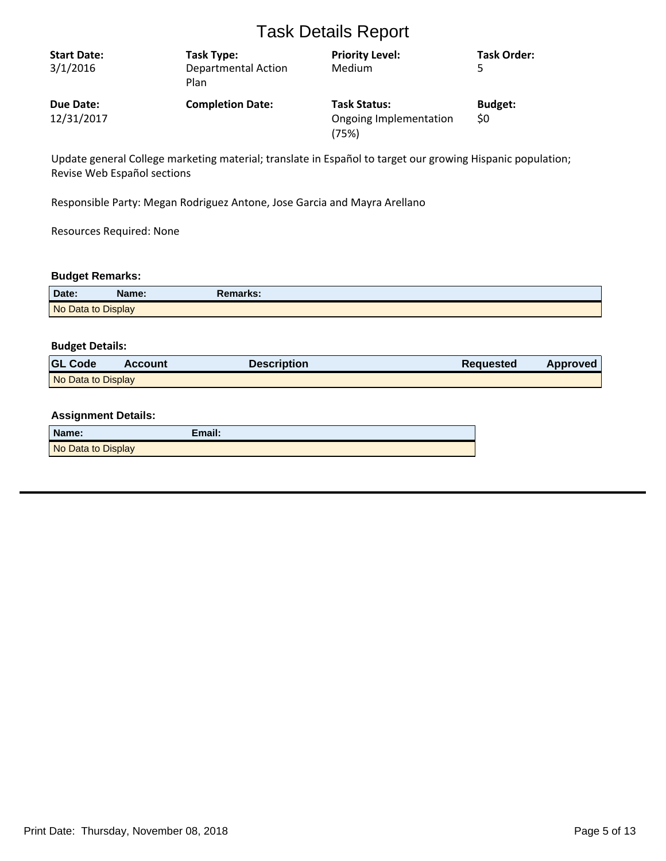| <b>Start Date:</b><br>3/1/2016 | Task Type:<br><b>Departmental Action</b><br>Plan | <b>Priority Level:</b><br>Medium                       | <b>Task Order:</b>    |
|--------------------------------|--------------------------------------------------|--------------------------------------------------------|-----------------------|
| Due Date:<br>12/31/2017        | <b>Completion Date:</b>                          | <b>Task Status:</b><br>Ongoing Implementation<br>(75%) | <b>Budget:</b><br>\$0 |

Update general College marketing material; translate in Español to target our growing Hispanic population; Revise Web Español sections

Responsible Party: Megan Rodriguez Antone, Jose Garcia and Mayra Arellano

Resources Required: None

### **Budget Remarks:**

| Date:              | Name: | Remarks: |
|--------------------|-------|----------|
| No Data to Display |       |          |

#### **Budget Details:**

| <b>GL Code</b>     | <b>Account</b> | <b>Description</b> | <b>Requested</b> | <b>Approved</b> |
|--------------------|----------------|--------------------|------------------|-----------------|
| No Data to Display |                |                    |                  |                 |

| Name:              | Email: |
|--------------------|--------|
| No Data to Display |        |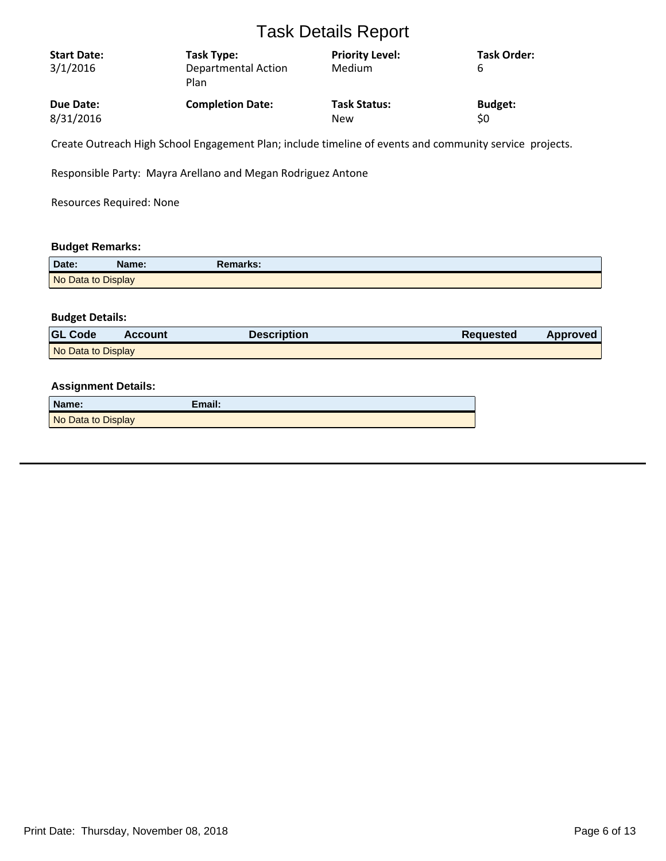| <b>Start Date:</b> | Task Type:                         | <b>Priority Level:</b> | <b>Task Order:</b> |
|--------------------|------------------------------------|------------------------|--------------------|
| 3/1/2016           | <b>Departmental Action</b><br>Plan | Medium                 | b                  |
| <b>Due Date:</b>   | <b>Completion Date:</b>            | <b>Task Status:</b>    | <b>Budget:</b>     |
| 8/31/2016          |                                    | <b>New</b>             | \$0                |

Create Outreach High School Engagement Plan; include timeline of events and community service projects.

Responsible Party: Mayra Arellano and Megan Rodriguez Antone

Resources Required: None

# **Budget Remarks:**

| Date:              | Name: | Remarks: |
|--------------------|-------|----------|
| No Data to Display |       |          |

## **Budget Details:**

| <b>GL Code</b>     | Account | Description | <b>Requested</b> | Approved |
|--------------------|---------|-------------|------------------|----------|
| No Data to Display |         |             |                  |          |

| Name:              | Email: |
|--------------------|--------|
| No Data to Display |        |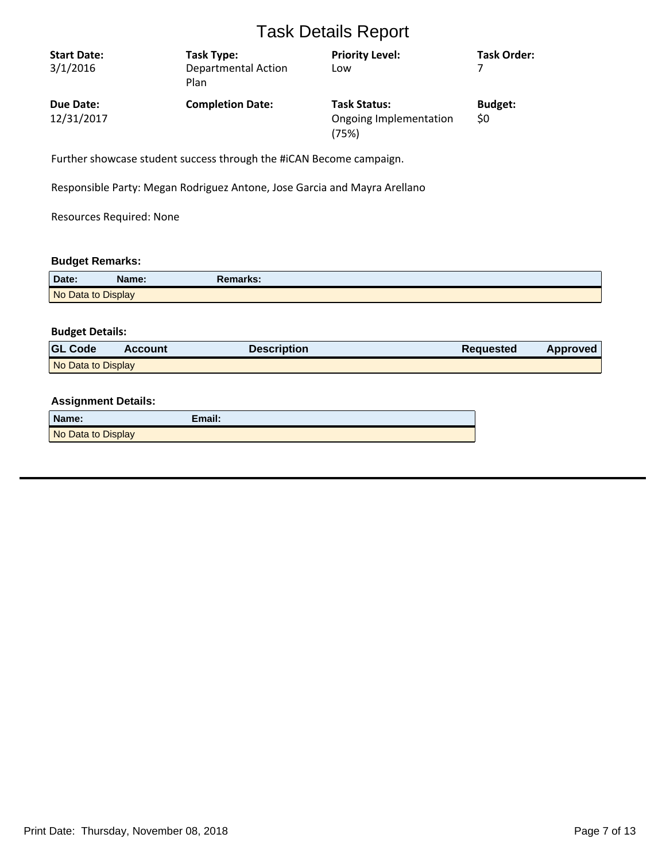| <b>Start Date:</b><br>3/1/2016 | Task Type:<br><b>Departmental Action</b><br>Plan | <b>Priority Level:</b><br>Low                          | <b>Task Order:</b>    |
|--------------------------------|--------------------------------------------------|--------------------------------------------------------|-----------------------|
| Due Date:<br>12/31/2017        | <b>Completion Date:</b>                          | <b>Task Status:</b><br>Ongoing Implementation<br>(75%) | <b>Budget:</b><br>\$0 |

Further showcase student success through the #iCAN Become campaign.

Responsible Party: Megan Rodriguez Antone, Jose Garcia and Mayra Arellano

Resources Required: None

# **Budget Remarks:**

| Date:              | Name: | <b>Remarks:</b> |
|--------------------|-------|-----------------|
| No Data to Display |       |                 |

# **Budget Details:**

| <b>GL Code</b>     | <b>Account</b> | <b>Description</b> | <b>Requested</b> | <b>Approved</b> |
|--------------------|----------------|--------------------|------------------|-----------------|
| No Data to Display |                |                    |                  |                 |

| Name:              | Email: |
|--------------------|--------|
| No Data to Display |        |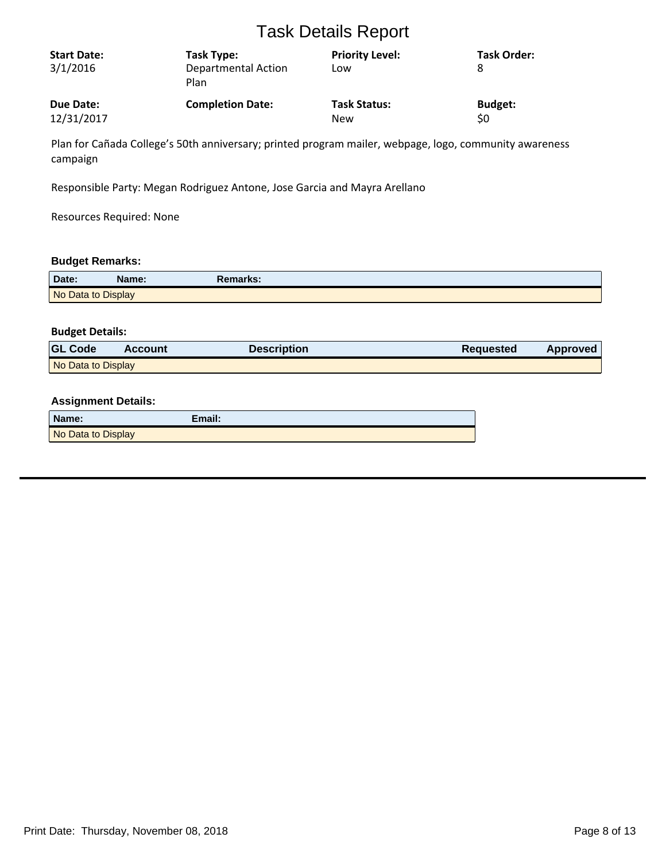| <b>Start Date:</b> | Task Type:                         | <b>Priority Level:</b> | <b>Task Order:</b> |
|--------------------|------------------------------------|------------------------|--------------------|
| 3/1/2016           | <b>Departmental Action</b><br>Plan | Low                    |                    |
| Due Date:          | <b>Completion Date:</b>            | <b>Task Status:</b>    | <b>Budget:</b>     |
| 12/31/2017         |                                    | <b>New</b>             | \$0                |

Plan for Cañada College's 50th anniversary; printed program mailer, webpage, logo, community awareness campaign

Responsible Party: Megan Rodriguez Antone, Jose Garcia and Mayra Arellano

Resources Required: None

### **Budget Remarks:**

| Date:              | Name: | Remarks: |
|--------------------|-------|----------|
| No Data to Display |       |          |

### **Budget Details:**

| <b>GL Code</b>     | <b>Account</b> | <b>Description</b> | <b>Requested</b> | <b>Approved</b> |
|--------------------|----------------|--------------------|------------------|-----------------|
| No Data to Display |                |                    |                  |                 |

| Name:              | Email: |
|--------------------|--------|
| No Data to Display |        |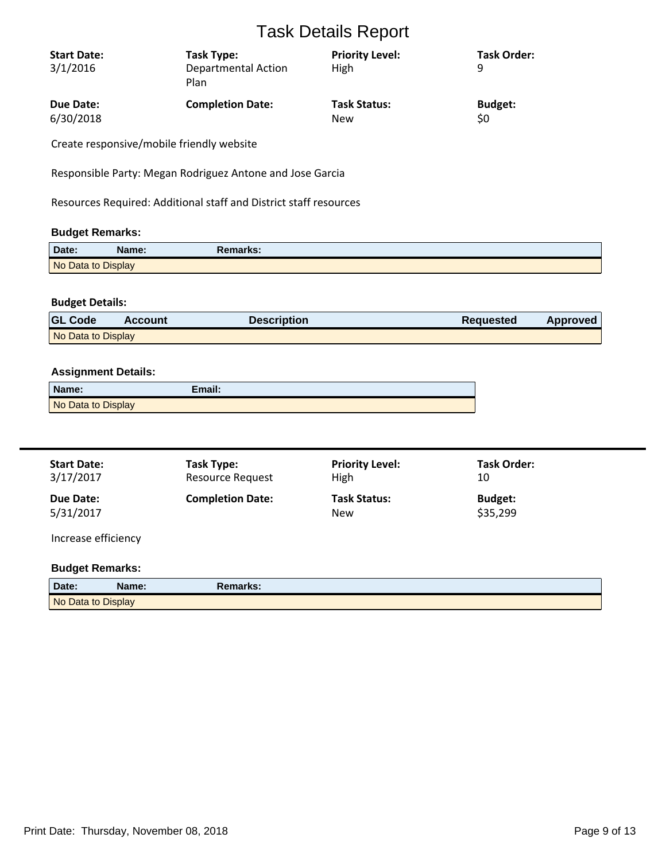| <b>Start Date:</b> | Task Type:                         | <b>Priority Level:</b> | <b>Task Order:</b> |
|--------------------|------------------------------------|------------------------|--------------------|
| 3/1/2016           | <b>Departmental Action</b><br>Plan | High                   | q                  |
| <b>Due Date:</b>   | <b>Completion Date:</b>            | <b>Task Status:</b>    | <b>Budget:</b>     |
| 6/30/2018          |                                    | <b>New</b>             | \$0                |
| $\sim$ $\sim$      |                                    |                        |                    |

Create responsive/mobile friendly website

Responsible Party: Megan Rodriguez Antone and Jose Garcia

Resources Required: Additional staff and District staff resources

### **Budget Remarks:**

| Date:              | Name: | Remarks: |  |
|--------------------|-------|----------|--|
| No Data to Display |       |          |  |

# **Budget Details:**

| <b>GL Code</b>     | <b>Account</b> | <b>Description</b> | <b>Requested</b> | Approved |
|--------------------|----------------|--------------------|------------------|----------|
| No Data to Display |                |                    |                  |          |

# **Assignment Details:**

| Name:              | Email: |
|--------------------|--------|
| No Data to Display |        |

| <b>Start Date:</b><br>3/17/2017 | Task Type:<br><b>Resource Request</b> | <b>Priority Level:</b><br>High    | Task Order:<br>10          |  |
|---------------------------------|---------------------------------------|-----------------------------------|----------------------------|--|
| <b>Due Date:</b><br>5/31/2017   | <b>Completion Date:</b>               | <b>Task Status:</b><br><b>New</b> | <b>Budget:</b><br>\$35,299 |  |
| Increase efficiency             |                                       |                                   |                            |  |

### **Budget Remarks:**

| Date:              | Name: | Remarks: |
|--------------------|-------|----------|
| No Data to Display |       |          |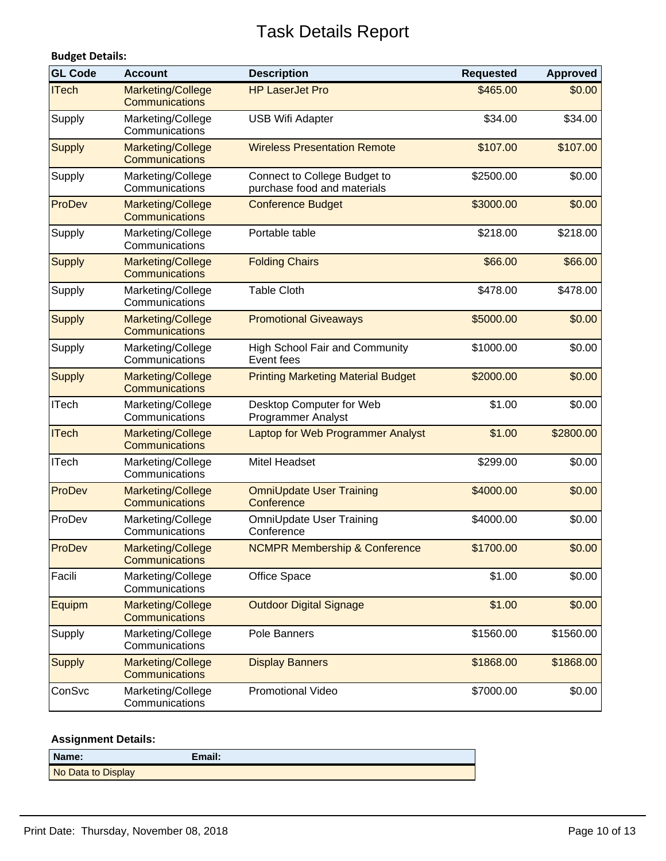| <b>Budget Details:</b> |                                            |                                                             |                  |                 |
|------------------------|--------------------------------------------|-------------------------------------------------------------|------------------|-----------------|
| <b>GL Code</b>         | <b>Account</b>                             | <b>Description</b>                                          | <b>Requested</b> | <b>Approved</b> |
| <b>ITech</b>           | Marketing/College<br>Communications        | <b>HP LaserJet Pro</b>                                      | \$465.00         | \$0.00          |
| Supply                 | Marketing/College<br>Communications        | <b>USB Wifi Adapter</b>                                     | \$34.00          | \$34.00         |
| <b>Supply</b>          | Marketing/College<br>Communications        | <b>Wireless Presentation Remote</b>                         | \$107.00         | \$107.00        |
| Supply                 | Marketing/College<br>Communications        | Connect to College Budget to<br>purchase food and materials | \$2500.00        | \$0.00          |
| ProDev                 | Marketing/College<br>Communications        | <b>Conference Budget</b>                                    | \$3000.00        | \$0.00          |
| Supply                 | Marketing/College<br>Communications        | Portable table                                              | \$218.00         | \$218.00        |
| <b>Supply</b>          | Marketing/College<br>Communications        | <b>Folding Chairs</b>                                       | \$66.00          | \$66.00         |
| Supply                 | Marketing/College<br>Communications        | <b>Table Cloth</b>                                          | \$478.00         | \$478.00        |
| <b>Supply</b>          | Marketing/College<br>Communications        | <b>Promotional Giveaways</b>                                | \$5000.00        | \$0.00          |
| Supply                 | Marketing/College<br>Communications        | <b>High School Fair and Community</b><br>Event fees         | \$1000.00        | \$0.00          |
| <b>Supply</b>          | Marketing/College<br>Communications        | <b>Printing Marketing Material Budget</b>                   | \$2000.00        | \$0.00          |
| <b>ITech</b>           | Marketing/College<br>Communications        | Desktop Computer for Web<br><b>Programmer Analyst</b>       | \$1.00           | \$0.00          |
| <b>ITech</b>           | Marketing/College<br><b>Communications</b> | Laptop for Web Programmer Analyst                           | \$1.00           | \$2800.00       |
| <b>ITech</b>           | Marketing/College<br>Communications        | <b>Mitel Headset</b>                                        | \$299.00         | \$0.00          |
| ProDev                 | Marketing/College<br>Communications        | <b>OmniUpdate User Training</b><br>Conference               | \$4000.00        | \$0.00          |
| ProDev                 | Marketing/College<br>Communications        | OmniUpdate User Training<br>Conference                      | \$4000.00        | \$0.00          |
| ProDev                 | Marketing/College<br>Communications        | <b>NCMPR Membership &amp; Conference</b>                    | \$1700.00        | \$0.00          |
| Facili                 | Marketing/College<br>Communications        | Office Space                                                | \$1.00           | \$0.00          |
| Equipm                 | Marketing/College<br>Communications        | <b>Outdoor Digital Signage</b>                              | \$1.00           | \$0.00          |
| Supply                 | Marketing/College<br>Communications        | Pole Banners                                                | \$1560.00        | \$1560.00       |
| <b>Supply</b>          | Marketing/College<br>Communications        | <b>Display Banners</b>                                      | \$1868.00        | \$1868.00       |
| ConSvc                 | Marketing/College<br>Communications        | Promotional Video                                           | \$7000.00        | \$0.00          |

| Name:              | Email: |
|--------------------|--------|
| No Data to Display |        |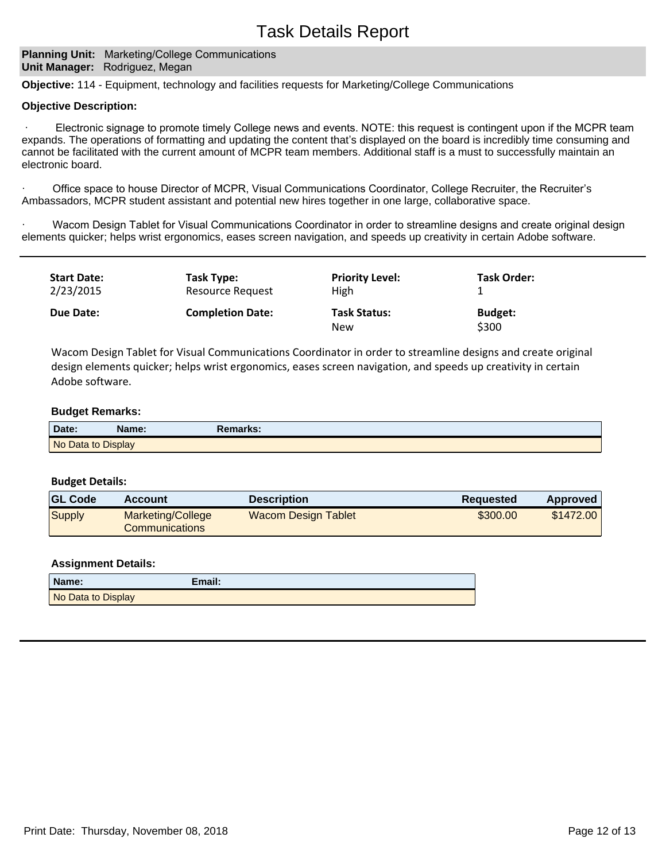### **Planning Unit: Marketing/College Communications Unit Manager: Rodriguez, Megan**

**Objective:** 114 - Equipment, technology and facilities requests for Marketing/College Communications

#### **Objective Description:**

Electronic signage to promote timely College news and events. NOTE: this request is contingent upon if the MCPR team expands. The operations of formatting and updating the content that's displayed on the board is incredibly time consuming and cannot be facilitated with the current amount of MCPR team members. Additional staff is a must to successfully maintain an electronic board.

Office space to house Director of MCPR, Visual Communications Coordinator, College Recruiter, the Recruiter's Ambassadors, MCPR student assistant and potential new hires together in one large, collaborative space.

Wacom Design Tablet for Visual Communications Coordinator in order to streamline designs and create original design elements quicker; helps wrist ergonomics, eases screen navigation, and speeds up creativity in certain Adobe software.

| <b>Start Date:</b> | Task Type:              | <b>Priority Level:</b>            | <b>Task Order:</b>      |
|--------------------|-------------------------|-----------------------------------|-------------------------|
| 2/23/2015          | <b>Resource Request</b> | High                              |                         |
| Due Date:          | <b>Completion Date:</b> | <b>Task Status:</b><br><b>New</b> | <b>Budget:</b><br>\$300 |

Wacom Design Tablet for Visual Communications Coordinator in order to streamline designs and create original design elements quicker; helps wrist ergonomics, eases screen navigation, and speeds up creativity in certain Adobe software.

### **Budget Remarks:**

| Date:              | Name: | <b>Remarks:</b> |
|--------------------|-------|-----------------|
| No Data to Display |       |                 |

#### **Budget Details:**

| <b>GL Code</b> | <b>Account</b>                      | <b>Description</b>         | Reguested | Approved  |
|----------------|-------------------------------------|----------------------------|-----------|-----------|
| <b>Supply</b>  | Marketing/College<br>Communications | <b>Wacom Design Tablet</b> | \$300.00  | \$1472.00 |

| Name:              | Email: |
|--------------------|--------|
| No Data to Display |        |